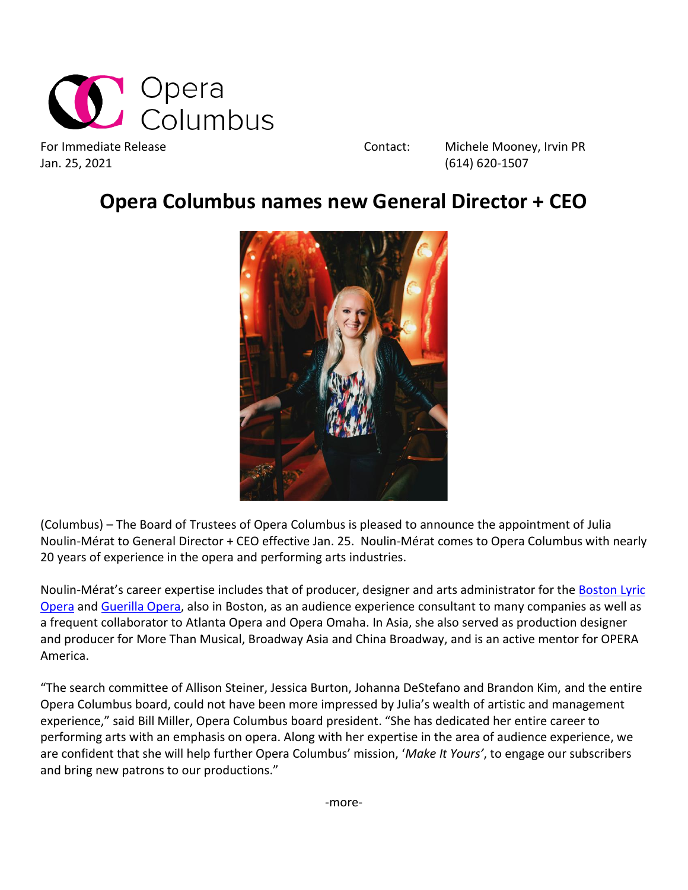

Jan. 25, 2021 (614) 620-1507

For Immediate Release The Contact: Michele Mooney, Irvin PR

## **Opera Columbus names new General Director + CEO**



(Columbus) – The Board of Trustees of Opera Columbus is pleased to announce the appointment of Julia Noulin-Mérat to General Director + CEO effective Jan. 25. Noulin-Mérat comes to Opera Columbus with nearly 20 years of experience in the opera and performing arts industries.

Noulin-Mérat's career expertise includes that of producer, designer and arts administrator for the [Boston Lyric](http://www.blo.org/)  [Opera](http://www.blo.org/) and [Guerilla Opera,](https://guerillaopera.org/) also in Boston, as an audience experience consultant to many companies as well as a frequent collaborator to Atlanta Opera and Opera Omaha. In Asia, she also served as production designer and producer for More Than Musical, Broadway Asia and China Broadway, and is an active mentor for OPERA America.

"The search committee of Allison Steiner, Jessica Burton, Johanna DeStefano and Brandon Kim, and the entire Opera Columbus board, could not have been more impressed by Julia's wealth of artistic and management experience," said Bill Miller, Opera Columbus board president. "She has dedicated her entire career to performing arts with an emphasis on opera. Along with her expertise in the area of audience experience, we are confident that she will help further Opera Columbus' mission, '*Make It Yours'*, to engage our subscribers and bring new patrons to our productions."